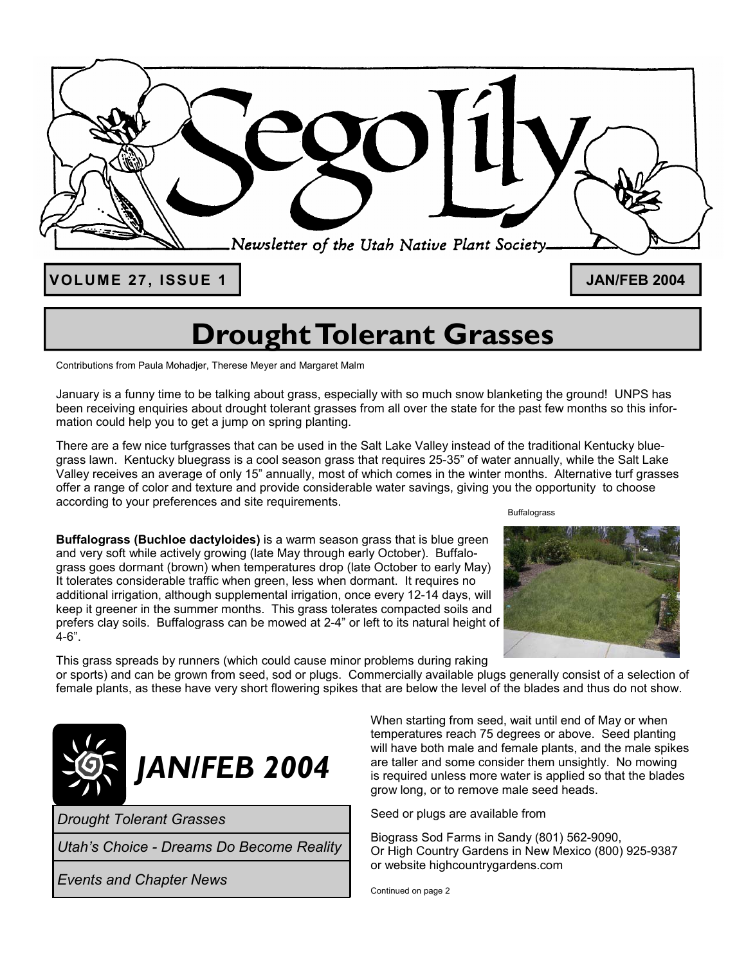

**VOLUME 27, ISSUE 1 JAN/FEB 2004** 

# **Drought Tolerant Grasses**

Contributions from Paula Mohadjer, Therese Meyer and Margaret Malm

January is a funny time to be talking about grass, especially with so much snow blanketing the ground! UNPS has been receiving enquiries about drought tolerant grasses from all over the state for the past few months so this information could help you to get a jump on spring planting.

There are a few nice turfgrasses that can be used in the Salt Lake Valley instead of the traditional Kentucky bluegrass lawn. Kentucky bluegrass is a cool season grass that requires 25-35" of water annually, while the Salt Lake Valley receives an average of only 15" annually, most of which comes in the winter months. Alternative turf grasses offer a range of color and texture and provide considerable water savings, giving you the opportunity to choose according to your preferences and site requirements. Buffalograss

**Buffalograss (Buchloe dactyloides)** is a warm season grass that is blue green and very soft while actively growing (late May through early October). Buffalograss goes dormant (brown) when temperatures drop (late October to early May) It tolerates considerable traffic when green, less when dormant. It requires no additional irrigation, although supplemental irrigation, once every 12-14 days, will keep it greener in the summer months. This grass tolerates compacted soils and prefers clay soils. Buffalograss can be mowed at 2-4" or left to its natural height of 4-6".



This grass spreads by runners (which could cause minor problems during raking

or sports) and can be grown from seed, sod or plugs. Commercially available plugs generally consist of a selection of female plants, as these have very short flowering spikes that are below the level of the blades and thus do not show.



*Drought Tolerant Grasses*

*Utah's Choice - Dreams Do Become Reality*

*Events and Chapter News* 

When starting from seed, wait until end of May or when temperatures reach 75 degrees or above. Seed planting will have both male and female plants, and the male spikes are taller and some consider them unsightly. No mowing is required unless more water is applied so that the blades grow long, or to remove male seed heads.

Seed or plugs are available from

Biograss Sod Farms in Sandy (801) 562-9090, Or High Country Gardens in New Mexico (800) 925-9387 or website highcountrygardens.com

Continued on page 2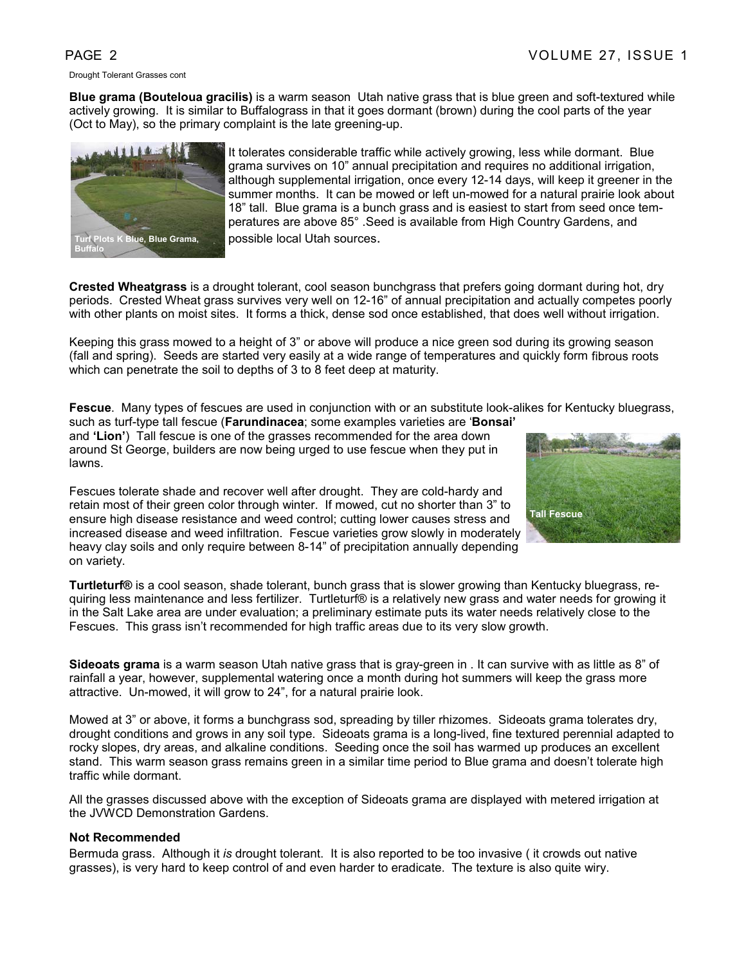Drought Tolerant Grasses cont

**Blue grama (Bouteloua gracilis)** is a warm season Utah native grass that is blue green and soft-textured while actively growing. It is similar to Buffalograss in that it goes dormant (brown) during the cool parts of the year (Oct to May), so the primary complaint is the late greening-up.



It tolerates considerable traffic while actively growing, less while dormant. Blue grama survives on 10" annual precipitation and requires no additional irrigation, although supplemental irrigation, once every 12-14 days, will keep it greener in the summer months. It can be mowed or left un-mowed for a natural prairie look about 18" tall. Blue grama is a bunch grass and is easiest to start from seed once temperatures are above 85° .Seed is available from High Country Gardens, and possible local Utah sources.

**Crested Wheatgrass** is a drought tolerant, cool season bunchgrass that prefers going dormant during hot, dry periods. Crested Wheat grass survives very well on 12-16" of annual precipitation and actually competes poorly with other plants on moist sites. It forms a thick, dense sod once established, that does well without irrigation.

Keeping this grass mowed to a height of 3" or above will produce a nice green sod during its growing season (fall and spring). Seeds are started very easily at a wide range of temperatures and quickly form fibrous roots which can penetrate the soil to depths of 3 to 8 feet deep at maturity.

**Fescue**. Many types of fescues are used in conjunction with or an substitute look-alikes for Kentucky bluegrass,

such as turf-type tall fescue (**Farundinacea**; some examples varieties are '**Bonsai'**  and **'Lion'**) Tall fescue is one of the grasses recommended for the area down around St George, builders are now being urged to use fescue when they put in lawns.

Fescues tolerate shade and recover well after drought. They are cold-hardy and retain most of their green color through winter. If mowed, cut no shorter than 3" to ensure high disease resistance and weed control; cutting lower causes stress and increased disease and weed infiltration. Fescue varieties grow slowly in moderately heavy clay soils and only require between 8-14" of precipitation annually depending on variety.



**Turtleturf®** is a cool season, shade tolerant, bunch grass that is slower growing than Kentucky bluegrass, requiring less maintenance and less fertilizer. Turtleturf® is a relatively new grass and water needs for growing it in the Salt Lake area are under evaluation; a preliminary estimate puts its water needs relatively close to the Fescues. This grass isn't recommended for high traffic areas due to its very slow growth.

**Sideoats grama** is a warm season Utah native grass that is gray-green in . It can survive with as little as 8" of rainfall a year, however, supplemental watering once a month during hot summers will keep the grass more attractive. Un-mowed, it will grow to 24", for a natural prairie look.

Mowed at 3" or above, it forms a bunchgrass sod, spreading by tiller rhizomes. Sideoats grama tolerates dry, drought conditions and grows in any soil type. Sideoats grama is a long-lived, fine textured perennial adapted to rocky slopes, dry areas, and alkaline conditions. Seeding once the soil has warmed up produces an excellent stand. This warm season grass remains green in a similar time period to Blue grama and doesn't tolerate high traffic while dormant.

All the grasses discussed above with the exception of Sideoats grama are displayed with metered irrigation at the JVWCD Demonstration Gardens.

# **Not Recommended**

Bermuda grass. Although it *is* drought tolerant. It is also reported to be too invasive ( it crowds out native grasses), is very hard to keep control of and even harder to eradicate. The texture is also quite wiry.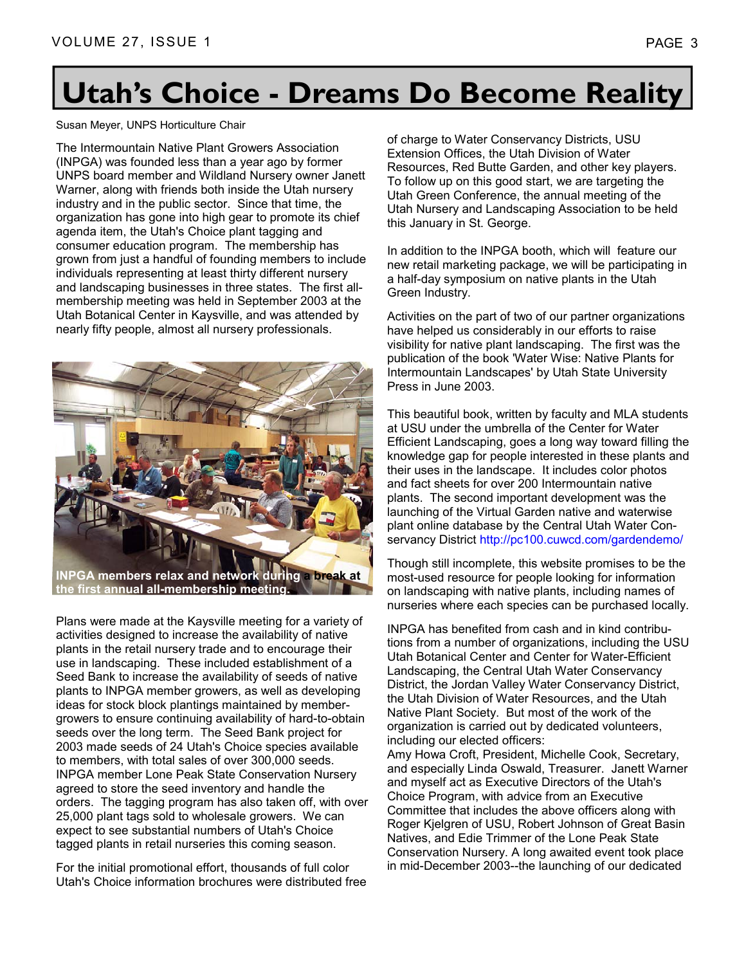# **Utah's Choice - Dreams Do Become Reality**

# Susan Meyer, UNPS Horticulture Chair

The Intermountain Native Plant Growers Association (INPGA) was founded less than a year ago by former UNPS board member and Wildland Nursery owner Janett Warner, along with friends both inside the Utah nursery industry and in the public sector. Since that time, the organization has gone into high gear to promote its chief agenda item, the Utah's Choice plant tagging and consumer education program. The membership has grown from just a handful of founding members to include individuals representing at least thirty different nursery and landscaping businesses in three states. The first allmembership meeting was held in September 2003 at the Utah Botanical Center in Kaysville, and was attended by nearly fifty people, almost all nursery professionals.



**the first annual all-membership meeting.** 

Plans were made at the Kaysville meeting for a variety of activities designed to increase the availability of native plants in the retail nursery trade and to encourage their use in landscaping. These included establishment of a Seed Bank to increase the availability of seeds of native plants to INPGA member growers, as well as developing ideas for stock block plantings maintained by membergrowers to ensure continuing availability of hard-to-obtain seeds over the long term. The Seed Bank project for 2003 made seeds of 24 Utah's Choice species available to members, with total sales of over 300,000 seeds. INPGA member Lone Peak State Conservation Nursery agreed to store the seed inventory and handle the orders. The tagging program has also taken off, with over 25,000 plant tags sold to wholesale growers. We can expect to see substantial numbers of Utah's Choice tagged plants in retail nurseries this coming season.

For the initial promotional effort, thousands of full color Utah's Choice information brochures were distributed free of charge to Water Conservancy Districts, USU Extension Offices, the Utah Division of Water Resources, Red Butte Garden, and other key players. To follow up on this good start, we are targeting the Utah Green Conference, the annual meeting of the Utah Nursery and Landscaping Association to be held this January in St. George.

In addition to the INPGA booth, which will feature our new retail marketing package, we will be participating in a half-day symposium on native plants in the Utah Green Industry.

Activities on the part of two of our partner organizations have helped us considerably in our efforts to raise visibility for native plant landscaping. The first was the publication of the book 'Water Wise: Native Plants for Intermountain Landscapes' by Utah State University Press in June 2003.

This beautiful book, written by faculty and MLA students at USU under the umbrella of the Center for Water Efficient Landscaping, goes a long way toward filling the knowledge gap for people interested in these plants and their uses in the landscape. It includes color photos and fact sheets for over 200 Intermountain native plants. The second important development was the launching of the Virtual Garden native and waterwise plant online database by the Central Utah Water Conservancy District http://pc100.cuwcd.com/gardendemo/

Though still incomplete, this website promises to be the most-used resource for people looking for information on landscaping with native plants, including names of nurseries where each species can be purchased locally.

INPGA has benefited from cash and in kind contributions from a number of organizations, including the USU Utah Botanical Center and Center for Water-Efficient Landscaping, the Central Utah Water Conservancy District, the Jordan Valley Water Conservancy District, the Utah Division of Water Resources, and the Utah Native Plant Society. But most of the work of the organization is carried out by dedicated volunteers, including our elected officers:

Amy Howa Croft, President, Michelle Cook, Secretary, and especially Linda Oswald, Treasurer. Janett Warner and myself act as Executive Directors of the Utah's Choice Program, with advice from an Executive Committee that includes the above officers along with Roger Kjelgren of USU, Robert Johnson of Great Basin Natives, and Edie Trimmer of the Lone Peak State Conservation Nursery. A long awaited event took place in mid-December 2003--the launching of our dedicated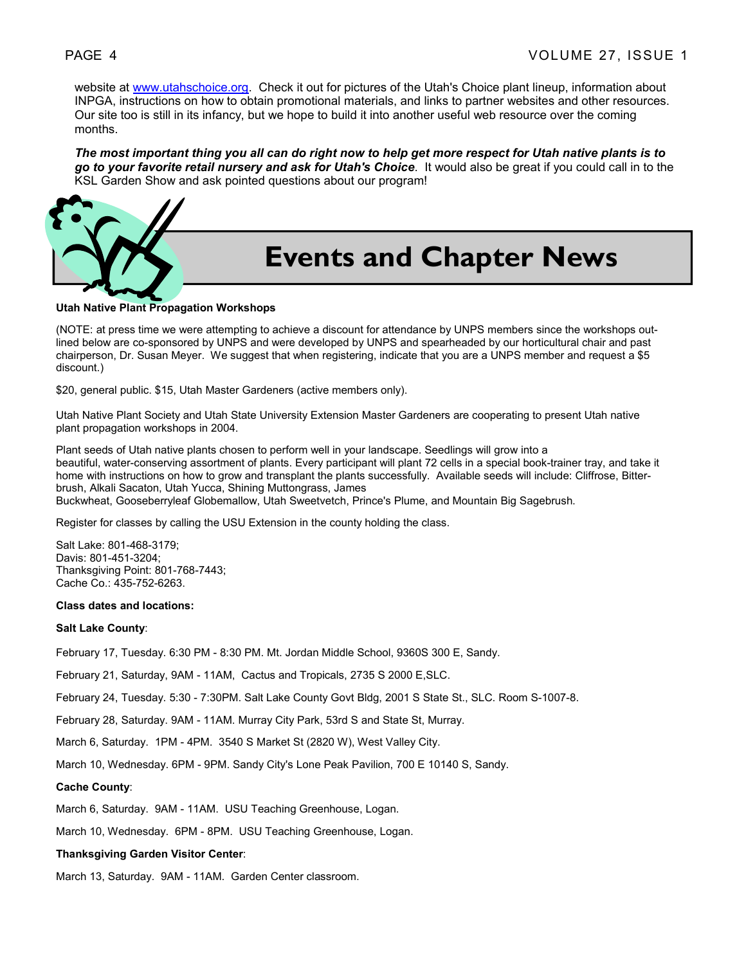website at www.utahschoice.org. Check it out for pictures of the Utah's Choice plant lineup, information about INPGA, instructions on how to obtain promotional materials, and links to partner websites and other resources. Our site too is still in its infancy, but we hope to build it into another useful web resource over the coming months.

*The most important thing you all can do right now to help get more respect for Utah native plants is to go to your favorite retail nursery and ask for Utah's Choice*. It would also be great if you could call in to the KSL Garden Show and ask pointed questions about our program!



# **Events and Chapter News**

# **Utah Native Plant Propagation Workshops**

(NOTE: at press time we were attempting to achieve a discount for attendance by UNPS members since the workshops outlined below are co-sponsored by UNPS and were developed by UNPS and spearheaded by our horticultural chair and past chairperson, Dr. Susan Meyer. We suggest that when registering, indicate that you are a UNPS member and request a \$5 discount.)

\$20, general public. \$15, Utah Master Gardeners (active members only).

Utah Native Plant Society and Utah State University Extension Master Gardeners are cooperating to present Utah native plant propagation workshops in 2004.

Plant seeds of Utah native plants chosen to perform well in your landscape. Seedlings will grow into a beautiful, water-conserving assortment of plants. Every participant will plant 72 cells in a special book-trainer tray, and take it home with instructions on how to grow and transplant the plants successfully. Available seeds will include: Cliffrose, Bitterbrush, Alkali Sacaton, Utah Yucca, Shining Muttongrass, James Buckwheat, Gooseberryleaf Globemallow, Utah Sweetvetch, Prince's Plume, and Mountain Big Sagebrush.

Register for classes by calling the USU Extension in the county holding the class.

Salt Lake: 801-468-3179; Davis: 801-451-3204; Thanksgiving Point: 801-768-7443; Cache Co.: 435-752-6263.

# **Class dates and locations:**

# **Salt Lake County**:

February 17, Tuesday. 6:30 PM - 8:30 PM. Mt. Jordan Middle School, 9360S 300 E, Sandy.

February 21, Saturday, 9AM - 11AM, Cactus and Tropicals, 2735 S 2000 E,SLC.

February 24, Tuesday. 5:30 - 7:30PM. Salt Lake County Govt Bldg, 2001 S State St., SLC. Room S-1007-8.

February 28, Saturday. 9AM - 11AM. Murray City Park, 53rd S and State St, Murray.

March 6, Saturday. 1PM - 4PM. 3540 S Market St (2820 W), West Valley City.

March 10, Wednesday. 6PM - 9PM. Sandy City's Lone Peak Pavilion, 700 E 10140 S, Sandy.

#### **Cache County**:

March 6, Saturday. 9AM - 11AM. USU Teaching Greenhouse, Logan.

March 10, Wednesday. 6PM - 8PM. USU Teaching Greenhouse, Logan.

#### **Thanksgiving Garden Visitor Center**:

March 13, Saturday. 9AM - 11AM. Garden Center classroom.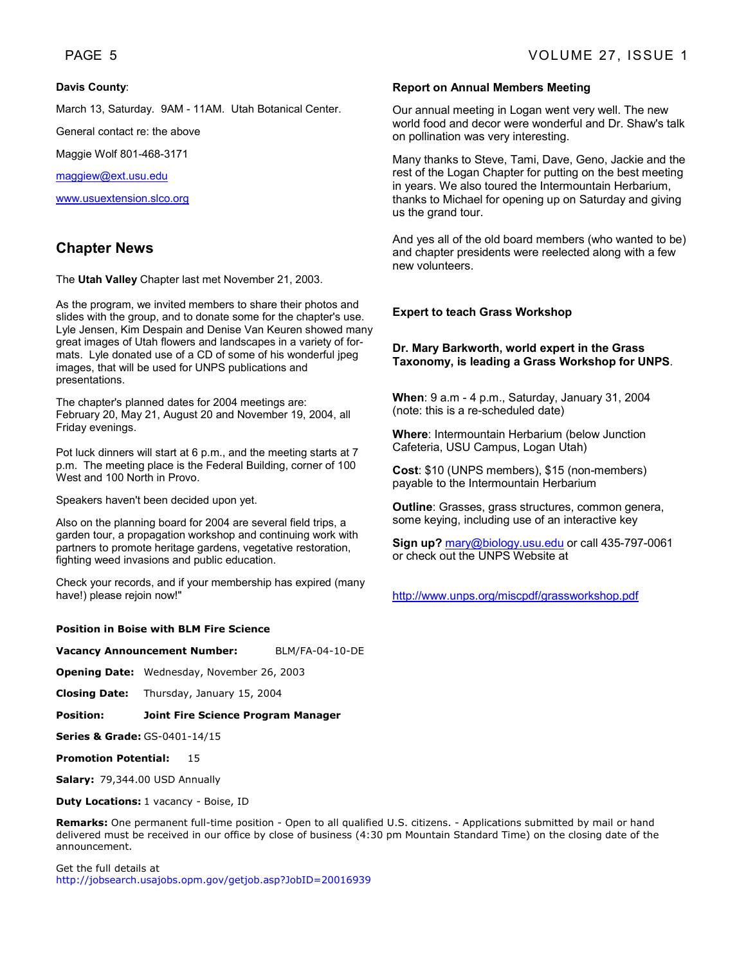# **Davis County**:

March 13, Saturday. 9AM - 11AM. Utah Botanical Center.

General contact re: the above

Maggie Wolf 801-468-3171

maggiew@ext.usu.edu

www.usuextension.slco.org

# **Chapter News**

The **Utah Valley** Chapter last met November 21, 2003.

As the program, we invited members to share their photos and slides with the group, and to donate some for the chapter's use. Lyle Jensen, Kim Despain and Denise Van Keuren showed many great images of Utah flowers and landscapes in a variety of formats. Lyle donated use of a CD of some of his wonderful jpeg images, that will be used for UNPS publications and presentations.

The chapter's planned dates for 2004 meetings are: February 20, May 21, August 20 and November 19, 2004, all Friday evenings.

Pot luck dinners will start at 6 p.m., and the meeting starts at 7 p.m. The meeting place is the Federal Building, corner of 100 West and 100 North in Provo.

Speakers haven't been decided upon yet.

Also on the planning board for 2004 are several field trips, a garden tour, a propagation workshop and continuing work with partners to promote heritage gardens, vegetative restoration, fighting weed invasions and public education.

Check your records, and if your membership has expired (many have!) please rejoin now!"

# **Position in Boise with BLM Fire Science**

**Vacancy Announcement Number:** BLM/FA-04-10-DE

**Opening Date:** Wednesday, November 26, 2003

**Closing Date:** Thursday, January 15, 2004

# **Position: Joint Fire Science Program Manager**

**Series & Grade:** GS-0401-14/15

**Promotion Potential:** 15

**Salary:** 79,344.00 USD Annually

# **Duty Locations:** 1 vacancy - Boise, ID

**Remarks:** One permanent full-time position - Open to all qualified U.S. citizens. - Applications submitted by mail or hand delivered must be received in our office by close of business (4:30 pm Mountain Standard Time) on the closing date of the announcement.

Get the full details at http://jobsearch.usajobs.opm.gov/getjob.asp?JobID=20016939

# **Report on Annual Members Meeting**

Our annual meeting in Logan went very well. The new world food and decor were wonderful and Dr. Shaw's talk on pollination was very interesting.

Many thanks to Steve, Tami, Dave, Geno, Jackie and the rest of the Logan Chapter for putting on the best meeting in years. We also toured the Intermountain Herbarium, thanks to Michael for opening up on Saturday and giving us the grand tour.

And yes all of the old board members (who wanted to be) and chapter presidents were reelected along with a few new volunteers.

# **Expert to teach Grass Workshop**

# **Dr. Mary Barkworth, world expert in the Grass Taxonomy, is leading a Grass Workshop for UNPS**.

**When**: 9 a.m - 4 p.m., Saturday, January 31, 2004 (note: this is a re-scheduled date)

**Where**: Intermountain Herbarium (below Junction Cafeteria, USU Campus, Logan Utah)

**Cost**: \$10 (UNPS members), \$15 (non-members) payable to the Intermountain Herbarium

**Outline**: Grasses, grass structures, common genera, some keying, including use of an interactive key

**Sign up?** mary@biology.usu.edu or call 435-797-0061 or check out the UNPS Website at

http://www.unps.org/miscpdf/grassworkshop.pdf